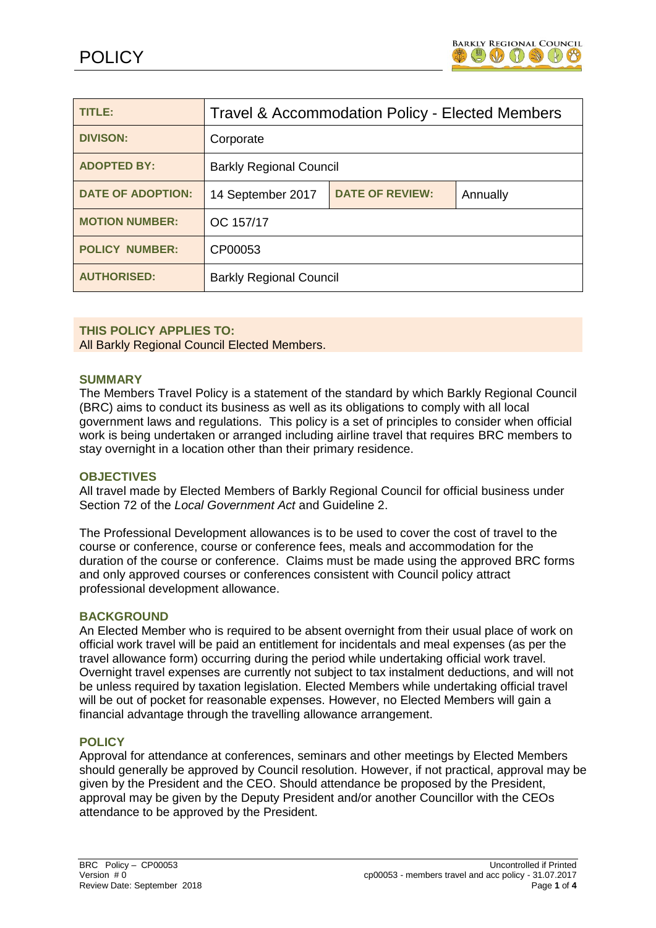

| TITLE:                   | Travel & Accommodation Policy - Elected Members |                        |          |
|--------------------------|-------------------------------------------------|------------------------|----------|
| <b>DIVISON:</b>          | Corporate                                       |                        |          |
| <b>ADOPTED BY:</b>       | <b>Barkly Regional Council</b>                  |                        |          |
| <b>DATE OF ADOPTION:</b> | 14 September 2017                               | <b>DATE OF REVIEW:</b> | Annually |
| <b>MOTION NUMBER:</b>    | OC 157/17                                       |                        |          |
| <b>POLICY NUMBER:</b>    | CP00053                                         |                        |          |
| <b>AUTHORISED:</b>       | <b>Barkly Regional Council</b>                  |                        |          |

### **THIS POLICY APPLIES TO:**

All Barkly Regional Council Elected Members.

#### **SUMMARY**

The Members Travel Policy is a statement of the standard by which Barkly Regional Council (BRC) aims to conduct its business as well as its obligations to comply with all local government laws and regulations. This policy is a set of principles to consider when official work is being undertaken or arranged including airline travel that requires BRC members to stay overnight in a location other than their primary residence.

#### **OBJECTIVES**

All travel made by Elected Members of Barkly Regional Council for official business under Section 72 of the *Local Government Act* and Guideline 2.

The Professional Development allowances is to be used to cover the cost of travel to the course or conference, course or conference fees, meals and accommodation for the duration of the course or conference. Claims must be made using the approved BRC forms and only approved courses or conferences consistent with Council policy attract professional development allowance.

#### **BACKGROUND**

An Elected Member who is required to be absent overnight from their usual place of work on official work travel will be paid an entitlement for incidentals and meal expenses (as per the travel allowance form) occurring during the period while undertaking official work travel. Overnight travel expenses are currently not subject to tax instalment deductions, and will not be unless required by taxation legislation. Elected Members while undertaking official travel will be out of pocket for reasonable expenses. However, no Elected Members will gain a financial advantage through the travelling allowance arrangement.

### **POLICY**

Approval for attendance at conferences, seminars and other meetings by Elected Members should generally be approved by Council resolution. However, if not practical, approval may be given by the President and the CEO. Should attendance be proposed by the President, approval may be given by the Deputy President and/or another Councillor with the CEOs attendance to be approved by the President.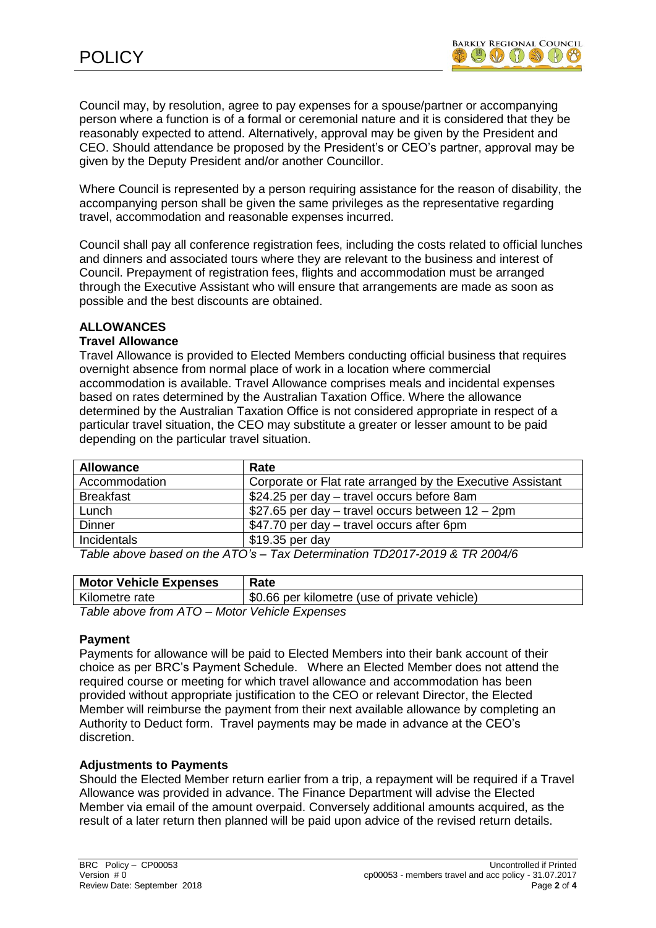Council may, by resolution, agree to pay expenses for a spouse/partner or accompanying person where a function is of a formal or ceremonial nature and it is considered that they be reasonably expected to attend. Alternatively, approval may be given by the President and CEO. Should attendance be proposed by the President's or CEO's partner, approval may be given by the Deputy President and/or another Councillor.

Where Council is represented by a person requiring assistance for the reason of disability, the accompanying person shall be given the same privileges as the representative regarding travel, accommodation and reasonable expenses incurred.

Council shall pay all conference registration fees, including the costs related to official lunches and dinners and associated tours where they are relevant to the business and interest of Council. Prepayment of registration fees, flights and accommodation must be arranged through the Executive Assistant who will ensure that arrangements are made as soon as possible and the best discounts are obtained.

# **ALLOWANCES**

# **Travel Allowance**

Travel Allowance is provided to Elected Members conducting official business that requires overnight absence from normal place of work in a location where commercial accommodation is available. Travel Allowance comprises meals and incidental expenses based on rates determined by the Australian Taxation Office. Where the allowance determined by the Australian Taxation Office is not considered appropriate in respect of a particular travel situation, the CEO may substitute a greater or lesser amount to be paid depending on the particular travel situation.

| <b>Allowance</b> | Rate                                                       |
|------------------|------------------------------------------------------------|
| Accommodation    | Corporate or Flat rate arranged by the Executive Assistant |
| <b>Breakfast</b> | \$24.25 per day – travel occurs before 8am                 |
| Lunch            | \$27.65 per day $-$ travel occurs between $12 - 2$ pm      |
| <b>Dinner</b>    | \$47.70 per day – travel occurs after 6pm                  |
| Incidentals      | $$19.35$ per day                                           |

*Table above based on the ATO's – Tax Determination TD2017-2019 & TR 2004/6*

| <b>Motor Vehicle Expenses</b>                 | Rate                                          |  |  |
|-----------------------------------------------|-----------------------------------------------|--|--|
| Kilometre rate                                | \$0.66 per kilometre (use of private vehicle) |  |  |
| Table above from ATO – Motor Vehicle Expenses |                                               |  |  |

### **Payment**

Payments for allowance will be paid to Elected Members into their bank account of their choice as per BRC's Payment Schedule. Where an Elected Member does not attend the required course or meeting for which travel allowance and accommodation has been provided without appropriate justification to the CEO or relevant Director, the Elected Member will reimburse the payment from their next available allowance by completing an Authority to Deduct form. Travel payments may be made in advance at the CEO's discretion.

# **Adjustments to Payments**

Should the Elected Member return earlier from a trip, a repayment will be required if a Travel Allowance was provided in advance. The Finance Department will advise the Elected Member via email of the amount overpaid. Conversely additional amounts acquired, as the result of a later return then planned will be paid upon advice of the revised return details.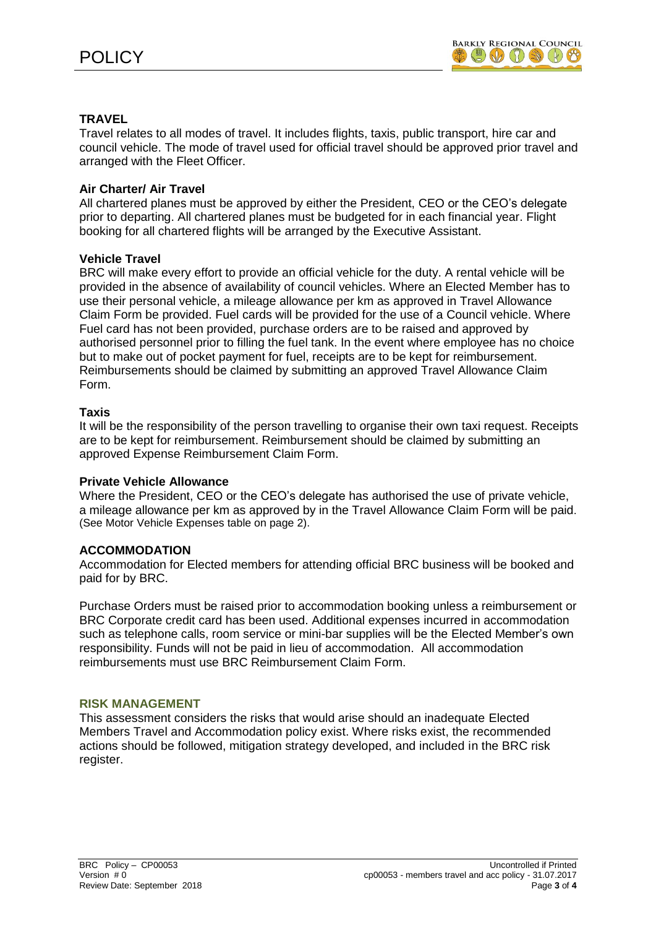# **TRAVEL**

Travel relates to all modes of travel. It includes flights, taxis, public transport, hire car and council vehicle. The mode of travel used for official travel should be approved prior travel and arranged with the Fleet Officer.

## **Air Charter/ Air Travel**

All chartered planes must be approved by either the President, CEO or the CEO's delegate prior to departing. All chartered planes must be budgeted for in each financial year. Flight booking for all chartered flights will be arranged by the Executive Assistant.

### **Vehicle Travel**

BRC will make every effort to provide an official vehicle for the duty. A rental vehicle will be provided in the absence of availability of council vehicles. Where an Elected Member has to use their personal vehicle, a mileage allowance per km as approved in Travel Allowance Claim Form be provided. Fuel cards will be provided for the use of a Council vehicle. Where Fuel card has not been provided, purchase orders are to be raised and approved by authorised personnel prior to filling the fuel tank. In the event where employee has no choice but to make out of pocket payment for fuel, receipts are to be kept for reimbursement. Reimbursements should be claimed by submitting an approved Travel Allowance Claim Form.

### **Taxis**

It will be the responsibility of the person travelling to organise their own taxi request. Receipts are to be kept for reimbursement. Reimbursement should be claimed by submitting an approved Expense Reimbursement Claim Form.

### **Private Vehicle Allowance**

Where the President, CEO or the CEO's delegate has authorised the use of private vehicle, a mileage allowance per km as approved by in the Travel Allowance Claim Form will be paid. (See Motor Vehicle Expenses table on page 2).

### **ACCOMMODATION**

Accommodation for Elected members for attending official BRC business will be booked and paid for by BRC.

Purchase Orders must be raised prior to accommodation booking unless a reimbursement or BRC Corporate credit card has been used. Additional expenses incurred in accommodation such as telephone calls, room service or mini-bar supplies will be the Elected Member's own responsibility. Funds will not be paid in lieu of accommodation. All accommodation reimbursements must use BRC Reimbursement Claim Form.

### **RISK MANAGEMENT**

This assessment considers the risks that would arise should an inadequate Elected Members Travel and Accommodation policy exist. Where risks exist, the recommended actions should be followed, mitigation strategy developed, and included in the BRC risk register.